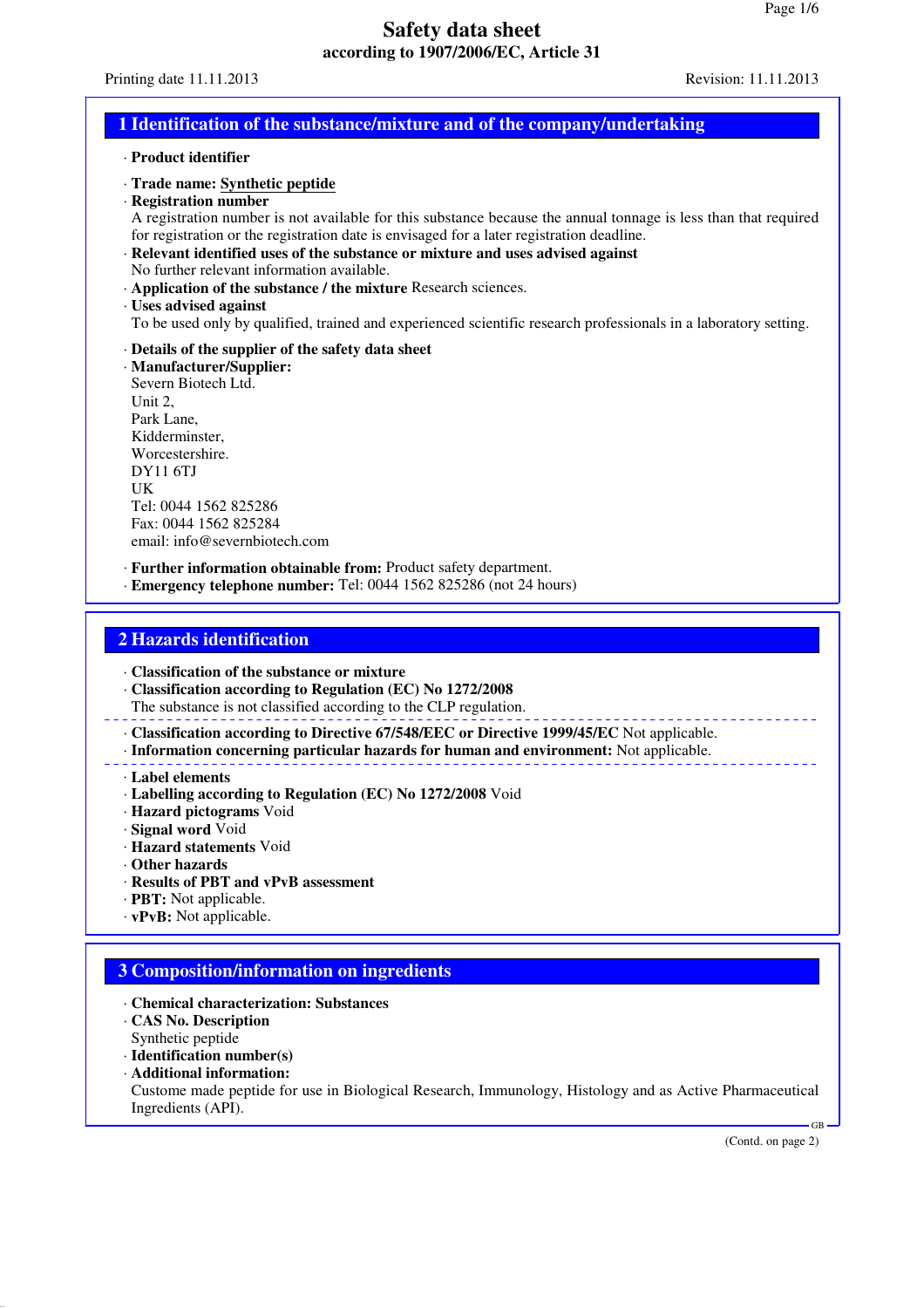### **1 Identification of the substance/mixture and of the company/undertaking**

#### · **Product identifier**

- · **Trade name: Synthetic peptide**
- · **Registration number**

A registration number is not available for this substance because the annual tonnage is less than that required for registration or the registration date is envisaged for a later registration deadline.

- · **Relevant identified uses of the substance or mixture and uses advised against** No further relevant information available.
- · **Application of the substance / the mixture** Research sciences.
- · **Uses advised against**
- To be used only by qualified, trained and experienced scientific research professionals in a laboratory setting.

#### · **Details of the supplier of the safety data sheet**

· **Manufacturer/Supplier:** Severn Biotech Ltd. Unit 2, Park Lane, Kidderminster, Worcestershire. DY11 6TJ UK Tel: 0044 1562 825286 Fax: 0044 1562 825284 email: info@severnbiotech.com

· **Further information obtainable from:** Product safety department.

· **Emergency telephone number:** Tel: 0044 1562 825286 (not 24 hours)

### **2 Hazards identification**

- · **Classification of the substance or mixture**
- · **Classification according to Regulation (EC) No 1272/2008**
- The substance is not classified according to the CLP regulation.

· **Classification according to Directive 67/548/EEC or Directive 1999/45/EC** Not applicable.

· **Information concerning particular hazards for human and environment:** Not applicable.

- · **Label elements**
- · **Labelling according to Regulation (EC) No 1272/2008** Void
- · **Hazard pictograms** Void
- · **Signal word** Void
- · **Hazard statements** Void
- · **Other hazards**
- · **Results of PBT and vPvB assessment**
- · **PBT:** Not applicable.
- · **vPvB:** Not applicable.

### **3 Composition/information on ingredients**

- · **Chemical characterization: Substances**
- · **CAS No. Description**
- Synthetic peptide
- · **Identification number(s)**
- · **Additional information:**
- Custome made peptide for use in Biological Research, Immunology, Histology and as Active Pharmaceutical Ingredients (API).

(Contd. on page 2)

GB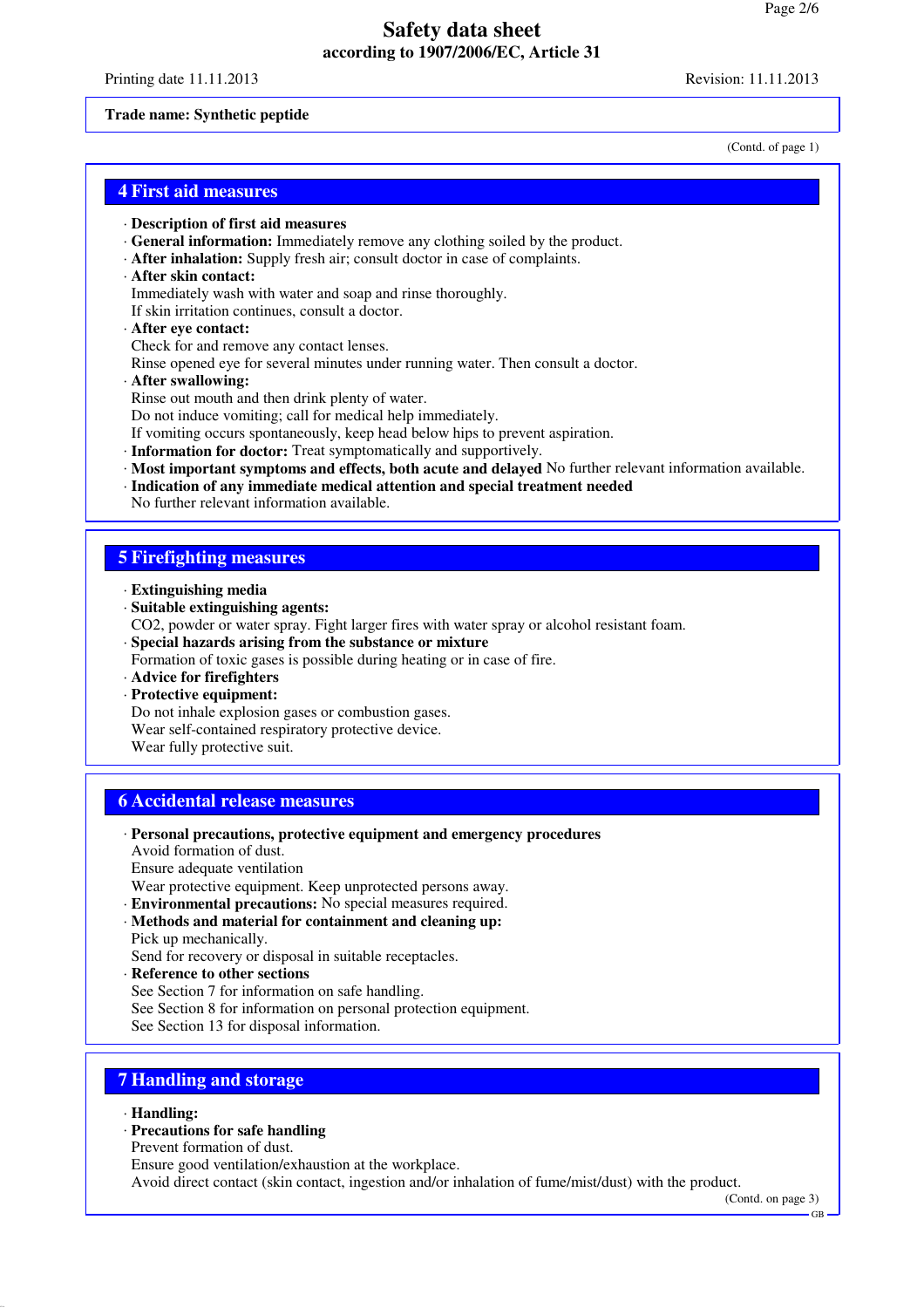Printing date 11.11.2013 Revision: 11.11.2013

#### **Trade name: Synthetic peptide**

(Contd. of page 1)

### **4 First aid measures**

- · **Description of first aid measures**
- · **General information:** Immediately remove any clothing soiled by the product.
- · **After inhalation:** Supply fresh air; consult doctor in case of complaints.
- · **After skin contact:**
- Immediately wash with water and soap and rinse thoroughly.
- If skin irritation continues, consult a doctor.

#### · **After eye contact:** Check for and remove any contact lenses.

Rinse opened eye for several minutes under running water. Then consult a doctor.

· **After swallowing:**

Rinse out mouth and then drink plenty of water.

Do not induce vomiting; call for medical help immediately.

If vomiting occurs spontaneously, keep head below hips to prevent aspiration.

- · **Information for doctor:** Treat symptomatically and supportively.
- · **Most important symptoms and effects, both acute and delayed** No further relevant information available.
- · **Indication of any immediate medical attention and special treatment needed** No further relevant information available.

# **5 Firefighting measures**

- · **Extinguishing media**
- · **Suitable extinguishing agents:** CO2, powder or water spray. Fight larger fires with water spray or alcohol resistant foam.
- · **Special hazards arising from the substance or mixture**

Formation of toxic gases is possible during heating or in case of fire.

· **Advice for firefighters**

· **Protective equipment:**

Do not inhale explosion gases or combustion gases. Wear self-contained respiratory protective device. Wear fully protective suit.

### **6 Accidental release measures**

- · **Personal precautions, protective equipment and emergency procedures**
- Avoid formation of dust.
- Ensure adequate ventilation

Wear protective equipment. Keep unprotected persons away.

- · **Environmental precautions:** No special measures required.
- · **Methods and material for containment and cleaning up:** Pick up mechanically.
- Send for recovery or disposal in suitable receptacles.

· **Reference to other sections**

- See Section 7 for information on safe handling.
- See Section 8 for information on personal protection equipment.

See Section 13 for disposal information.

# **7 Handling and storage**

· **Handling:**

### · **Precautions for safe handling**

Prevent formation of dust.

Ensure good ventilation/exhaustion at the workplace.

Avoid direct contact (skin contact, ingestion and/or inhalation of fume/mist/dust) with the product.

(Contd. on page 3)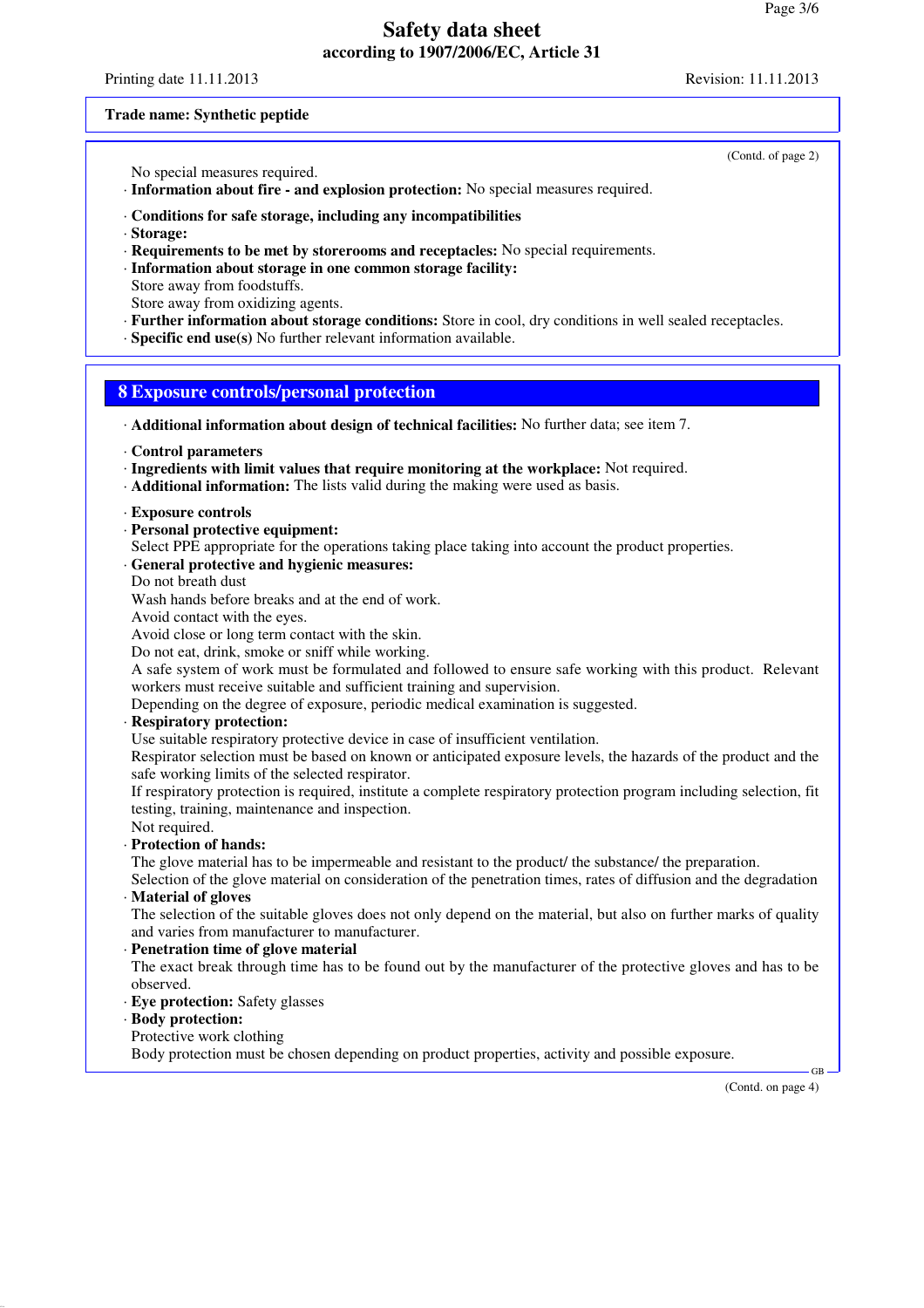Printing date 11.11.2013 Revision: 11.11.2013

(Contd. of page 2)

#### **Trade name: Synthetic peptide**

No special measures required.

· **Information about fire - and explosion protection:** No special measures required.

#### · **Conditions for safe storage, including any incompatibilities**

- · **Storage:**
- · **Requirements to be met by storerooms and receptacles:** No special requirements.
- · **Information about storage in one common storage facility:** Store away from foodstuffs.
- Store away from oxidizing agents.
- · **Further information about storage conditions:** Store in cool, dry conditions in well sealed receptacles.
- · **Specific end use(s)** No further relevant information available.

### **8 Exposure controls/personal protection**

- · **Additional information about design of technical facilities:** No further data; see item 7.
- · **Control parameters**
- · **Ingredients with limit values that require monitoring at the workplace:** Not required.
- · **Additional information:** The lists valid during the making were used as basis.
- · **Exposure controls**
- · **Personal protective equipment:**
- Select PPE appropriate for the operations taking place taking into account the product properties.

### · **General protective and hygienic measures:**

- Do not breath dust
- Wash hands before breaks and at the end of work.
- Avoid contact with the eyes.

Avoid close or long term contact with the skin.

Do not eat, drink, smoke or sniff while working.

A safe system of work must be formulated and followed to ensure safe working with this product. Relevant workers must receive suitable and sufficient training and supervision.

Depending on the degree of exposure, periodic medical examination is suggested.

#### · **Respiratory protection:**

Use suitable respiratory protective device in case of insufficient ventilation.

Respirator selection must be based on known or anticipated exposure levels, the hazards of the product and the safe working limits of the selected respirator.

If respiratory protection is required, institute a complete respiratory protection program including selection, fit testing, training, maintenance and inspection.

- Not required.
- · **Protection of hands:**

The glove material has to be impermeable and resistant to the product/ the substance/ the preparation.

Selection of the glove material on consideration of the penetration times, rates of diffusion and the degradation · **Material of gloves**

The selection of the suitable gloves does not only depend on the material, but also on further marks of quality and varies from manufacturer to manufacturer.

#### · **Penetration time of glove material**

The exact break through time has to be found out by the manufacturer of the protective gloves and has to be observed.

- · **Eye protection:** Safety glasses
- · **Body protection:**
- Protective work clothing

Body protection must be chosen depending on product properties, activity and possible exposure.

(Contd. on page 4)

GB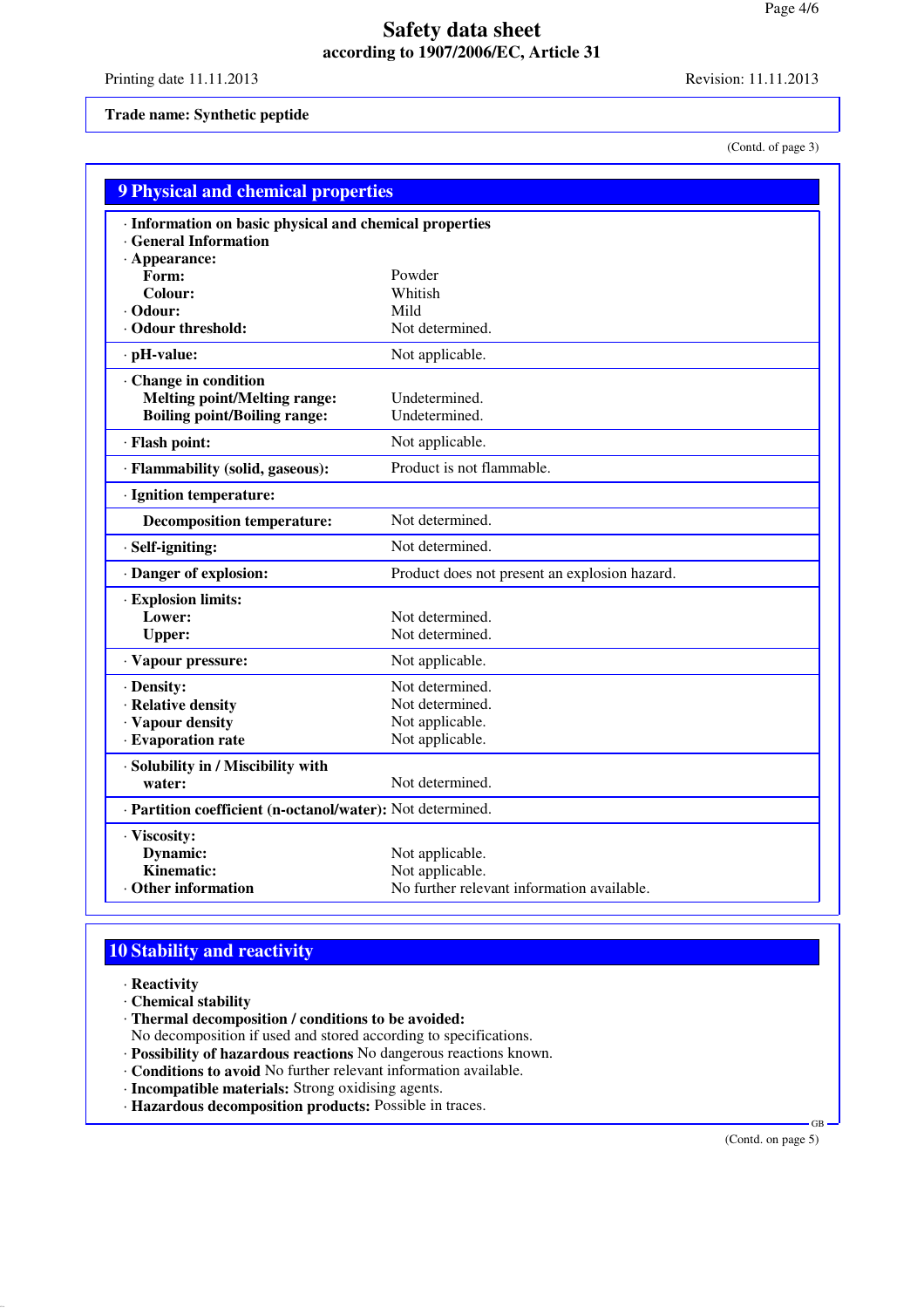Printing date 11.11.2013 Revision: 11.11.2013

### **Trade name: Synthetic peptide**

(Contd. of page 3)

| <b>9 Physical and chemical properties</b>                                        |                                               |  |
|----------------------------------------------------------------------------------|-----------------------------------------------|--|
| · Information on basic physical and chemical properties<br>· General Information |                                               |  |
| $\cdot$ Appearance:<br>Form:                                                     | Powder                                        |  |
| Colour:                                                                          | Whitish                                       |  |
| · Odour:                                                                         | Mild                                          |  |
| Odour threshold:                                                                 | Not determined.                               |  |
| $\cdot$ pH-value:                                                                | Not applicable.                               |  |
| · Change in condition                                                            |                                               |  |
| <b>Melting point/Melting range:</b>                                              | Undetermined.                                 |  |
| <b>Boiling point/Boiling range:</b>                                              | Undetermined.                                 |  |
| · Flash point:                                                                   | Not applicable.                               |  |
| · Flammability (solid, gaseous):                                                 | Product is not flammable.                     |  |
| · Ignition temperature:                                                          |                                               |  |
| <b>Decomposition temperature:</b>                                                | Not determined.                               |  |
| · Self-igniting:                                                                 | Not determined.                               |  |
| · Danger of explosion:                                                           | Product does not present an explosion hazard. |  |
| · Explosion limits:                                                              |                                               |  |
| Lower:                                                                           | Not determined.                               |  |
| <b>Upper:</b>                                                                    | Not determined.                               |  |
| · Vapour pressure:                                                               | Not applicable.                               |  |
| · Density:                                                                       | Not determined.                               |  |
| · Relative density                                                               | Not determined.                               |  |
| · Vapour density                                                                 | Not applicable.                               |  |
| · Evaporation rate                                                               | Not applicable.                               |  |
| · Solubility in / Miscibility with                                               |                                               |  |
| water:                                                                           | Not determined.                               |  |
| · Partition coefficient (n-octanol/water): Not determined.                       |                                               |  |
| · Viscosity:                                                                     |                                               |  |
| Dynamic:                                                                         | Not applicable.                               |  |
| Kinematic:                                                                       | Not applicable.                               |  |
| Other information                                                                | No further relevant information available.    |  |

# **10 Stability and reactivity**

- · **Reactivity**
- · **Chemical stability**
- · **Thermal decomposition / conditions to be avoided:**
- No decomposition if used and stored according to specifications.
- · **Possibility of hazardous reactions** No dangerous reactions known.
- · **Conditions to avoid** No further relevant information available.
- · **Incompatible materials:** Strong oxidising agents.
- · **Hazardous decomposition products:** Possible in traces.

(Contd. on page 5)

GB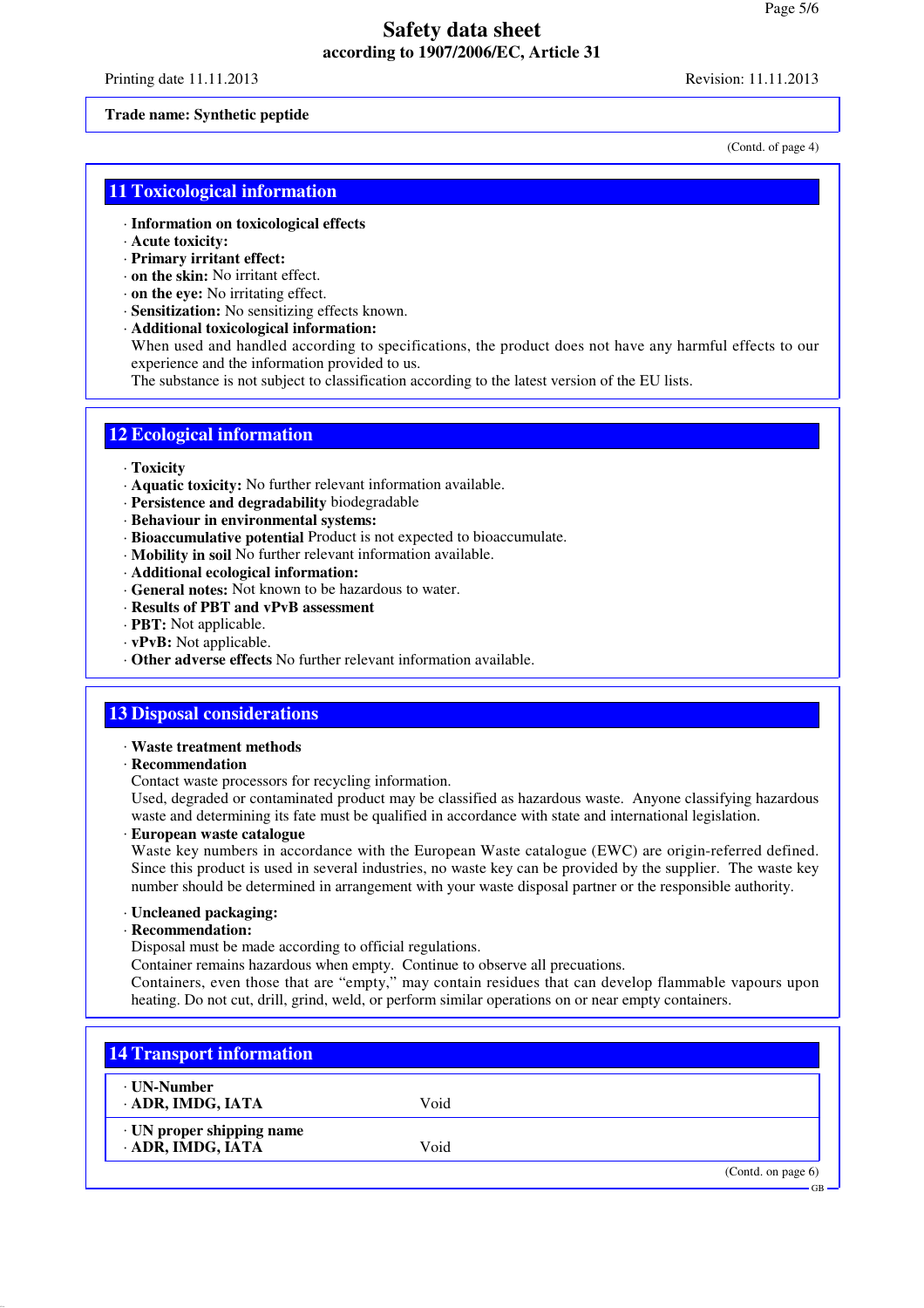Printing date 11.11.2013 Revision: 11.11.2013

#### **Trade name: Synthetic peptide**

(Contd. of page 4)

GB

### **11 Toxicological information**

- · **Information on toxicological effects**
- · **Acute toxicity:**
- · **Primary irritant effect:**
- · **on the skin:** No irritant effect.
- · **on the eye:** No irritating effect.
- · **Sensitization:** No sensitizing effects known.
- · **Additional toxicological information:**
- When used and handled according to specifications, the product does not have any harmful effects to our experience and the information provided to us.

The substance is not subject to classification according to the latest version of the EU lists.

## **12 Ecological information**

#### · **Toxicity**

- · **Aquatic toxicity:** No further relevant information available.
- · **Persistence and degradability** biodegradable
- · **Behaviour in environmental systems:**
- · **Bioaccumulative potential** Product is not expected to bioaccumulate.
- · **Mobility in soil** No further relevant information available.
- · **Additional ecological information:**
- · **General notes:** Not known to be hazardous to water.
- · **Results of PBT and vPvB assessment**
- · **PBT:** Not applicable.
- · **vPvB:** Not applicable.
- · **Other adverse effects** No further relevant information available.

## **13 Disposal considerations**

- · **Waste treatment methods**
- · **Recommendation**

Contact waste processors for recycling information.

Used, degraded or contaminated product may be classified as hazardous waste. Anyone classifying hazardous waste and determining its fate must be qualified in accordance with state and international legislation.

· **European waste catalogue**

Waste key numbers in accordance with the European Waste catalogue (EWC) are origin-referred defined. Since this product is used in several industries, no waste key can be provided by the supplier. The waste key number should be determined in arrangement with your waste disposal partner or the responsible authority.

- · **Uncleaned packaging:**
- · **Recommendation:**

Disposal must be made according to official regulations.

Container remains hazardous when empty. Continue to observe all precuations.

Containers, even those that are "empty," may contain residues that can develop flammable vapours upon heating. Do not cut, drill, grind, weld, or perform similar operations on or near empty containers.

| <b>14 Transport information</b>                      |      |                       |
|------------------------------------------------------|------|-----------------------|
| ∙ UN-Number<br>ADR, IMDG, IATA                       | Void |                       |
| $\cdot$ UN proper shipping name<br>· ADR, IMDG, IATA | Void |                       |
|                                                      |      | (Contd. on page $6$ ) |